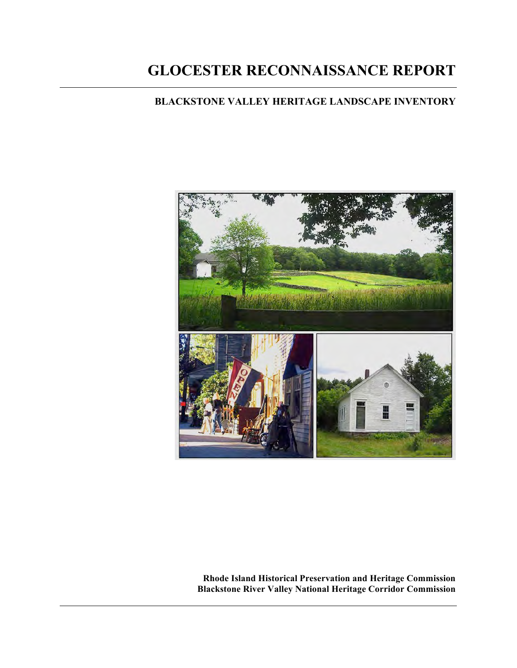# **GLOCESTER RECONNAISSANCE REPORT**

# **BLACKSTONE VALLEY HERITAGE LANDSCAPE INVENTORY**



**Rhode Island Historical Preservation and Heritage Commission Blackstone River Valley National Heritage Corridor Commission**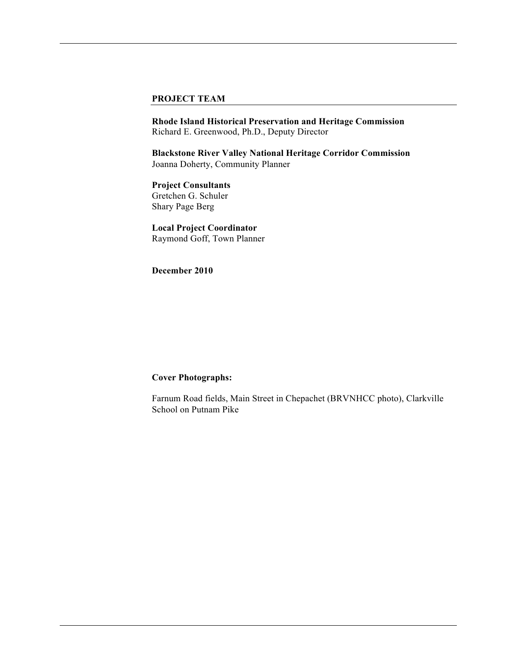#### **PROJECT TEAM**

**Rhode Island Historical Preservation and Heritage Commission** Richard E. Greenwood, Ph.D., Deputy Director

**Blackstone River Valley National Heritage Corridor Commission** Joanna Doherty, Community Planner

**Project Consultants** Gretchen G. Schuler Shary Page Berg

**Local Project Coordinator**  Raymond Goff, Town Planner

**December 2010** 

#### **Cover Photographs:**

Farnum Road fields, Main Street in Chepachet (BRVNHCC photo), Clarkville School on Putnam Pike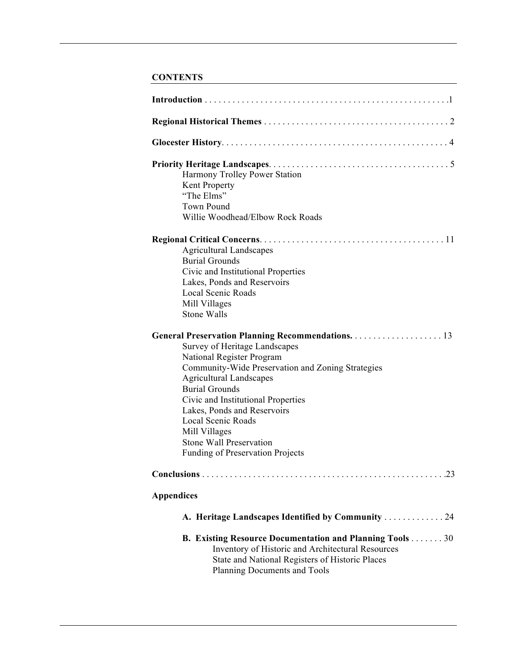# **CONTENTS**

|                    | Harmony Trolley Power Station                                                                                        |
|--------------------|----------------------------------------------------------------------------------------------------------------------|
|                    | Kent Property                                                                                                        |
| "The Elms"         |                                                                                                                      |
| <b>Town Pound</b>  |                                                                                                                      |
|                    | Willie Woodhead/Elbow Rock Roads                                                                                     |
|                    |                                                                                                                      |
|                    | <b>Agricultural Landscapes</b>                                                                                       |
|                    | <b>Burial Grounds</b>                                                                                                |
|                    | Civic and Institutional Properties                                                                                   |
|                    | Lakes, Ponds and Reservoirs                                                                                          |
|                    | <b>Local Scenic Roads</b>                                                                                            |
|                    | Mill Villages                                                                                                        |
| <b>Stone Walls</b> |                                                                                                                      |
|                    |                                                                                                                      |
|                    | Survey of Heritage Landscapes                                                                                        |
|                    | National Register Program                                                                                            |
|                    | Community-Wide Preservation and Zoning Strategies                                                                    |
|                    | <b>Agricultural Landscapes</b>                                                                                       |
|                    | <b>Burial Grounds</b>                                                                                                |
|                    | Civic and Institutional Properties                                                                                   |
|                    | Lakes, Ponds and Reservoirs                                                                                          |
|                    | Local Scenic Roads                                                                                                   |
|                    | Mill Villages                                                                                                        |
|                    | Stone Wall Preservation                                                                                              |
|                    | Funding of Preservation Projects                                                                                     |
|                    |                                                                                                                      |
| <b>Appendices</b>  |                                                                                                                      |
|                    |                                                                                                                      |
|                    | A. Heritage Landscapes Identified by Community 24                                                                    |
|                    | <b>B. Existing Resource Documentation and Planning Tools 30</b><br>Inventory of Historic and Architectural Resources |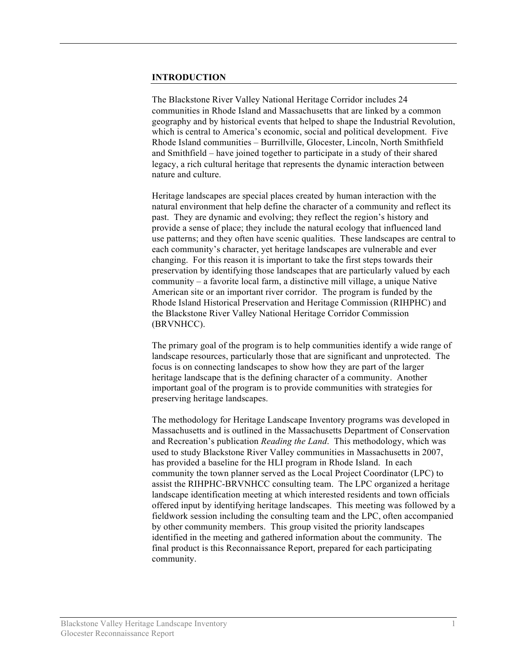## **INTRODUCTION**

The Blackstone River Valley National Heritage Corridor includes 24 communities in Rhode Island and Massachusetts that are linked by a common geography and by historical events that helped to shape the Industrial Revolution, which is central to America's economic, social and political development. Five Rhode Island communities – Burrillville, Glocester, Lincoln, North Smithfield and Smithfield – have joined together to participate in a study of their shared legacy, a rich cultural heritage that represents the dynamic interaction between nature and culture.

Heritage landscapes are special places created by human interaction with the natural environment that help define the character of a community and reflect its past. They are dynamic and evolving; they reflect the region's history and provide a sense of place; they include the natural ecology that influenced land use patterns; and they often have scenic qualities. These landscapes are central to each community's character, yet heritage landscapes are vulnerable and ever changing. For this reason it is important to take the first steps towards their preservation by identifying those landscapes that are particularly valued by each community – a favorite local farm, a distinctive mill village, a unique Native American site or an important river corridor. The program is funded by the Rhode Island Historical Preservation and Heritage Commission (RIHPHC) and the Blackstone River Valley National Heritage Corridor Commission (BRVNHCC).

The primary goal of the program is to help communities identify a wide range of landscape resources, particularly those that are significant and unprotected. The focus is on connecting landscapes to show how they are part of the larger heritage landscape that is the defining character of a community. Another important goal of the program is to provide communities with strategies for preserving heritage landscapes.

The methodology for Heritage Landscape Inventory programs was developed in Massachusetts and is outlined in the Massachusetts Department of Conservation and Recreation's publication *Reading the Land*. This methodology, which was used to study Blackstone River Valley communities in Massachusetts in 2007, has provided a baseline for the HLI program in Rhode Island. In each community the town planner served as the Local Project Coordinator (LPC) to assist the RIHPHC-BRVNHCC consulting team. The LPC organized a heritage landscape identification meeting at which interested residents and town officials offered input by identifying heritage landscapes. This meeting was followed by a fieldwork session including the consulting team and the LPC, often accompanied by other community members. This group visited the priority landscapes identified in the meeting and gathered information about the community. The final product is this Reconnaissance Report, prepared for each participating community.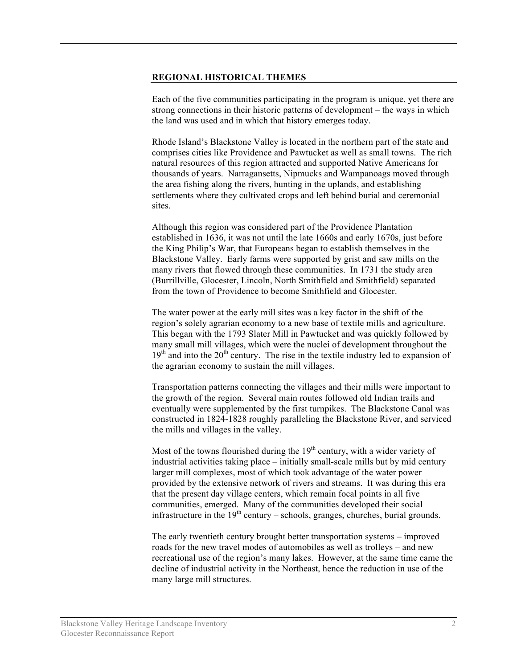#### **REGIONAL HISTORICAL THEMES**

Each of the five communities participating in the program is unique, yet there are strong connections in their historic patterns of development – the ways in which the land was used and in which that history emerges today.

Rhode Island's Blackstone Valley is located in the northern part of the state and comprises cities like Providence and Pawtucket as well as small towns. The rich natural resources of this region attracted and supported Native Americans for thousands of years. Narragansetts, Nipmucks and Wampanoags moved through the area fishing along the rivers, hunting in the uplands, and establishing settlements where they cultivated crops and left behind burial and ceremonial sites.

Although this region was considered part of the Providence Plantation established in 1636, it was not until the late 1660s and early 1670s, just before the King Philip's War, that Europeans began to establish themselves in the Blackstone Valley. Early farms were supported by grist and saw mills on the many rivers that flowed through these communities. In 1731 the study area (Burrillville, Glocester, Lincoln, North Smithfield and Smithfield) separated from the town of Providence to become Smithfield and Glocester.

The water power at the early mill sites was a key factor in the shift of the region's solely agrarian economy to a new base of textile mills and agriculture. This began with the 1793 Slater Mill in Pawtucket and was quickly followed by many small mill villages, which were the nuclei of development throughout the  $19<sup>th</sup>$  and into the  $20<sup>th</sup>$  century. The rise in the textile industry led to expansion of the agrarian economy to sustain the mill villages.

Transportation patterns connecting the villages and their mills were important to the growth of the region. Several main routes followed old Indian trails and eventually were supplemented by the first turnpikes. The Blackstone Canal was constructed in 1824-1828 roughly paralleling the Blackstone River, and serviced the mills and villages in the valley.

Most of the towns flourished during the  $19<sup>th</sup>$  century, with a wider variety of industrial activities taking place – initially small-scale mills but by mid century larger mill complexes, most of which took advantage of the water power provided by the extensive network of rivers and streams. It was during this era that the present day village centers, which remain focal points in all five communities, emerged. Many of the communities developed their social infrastructure in the  $19<sup>th</sup>$  century – schools, granges, churches, burial grounds.

The early twentieth century brought better transportation systems – improved roads for the new travel modes of automobiles as well as trolleys – and new recreational use of the region's many lakes. However, at the same time came the decline of industrial activity in the Northeast, hence the reduction in use of the many large mill structures.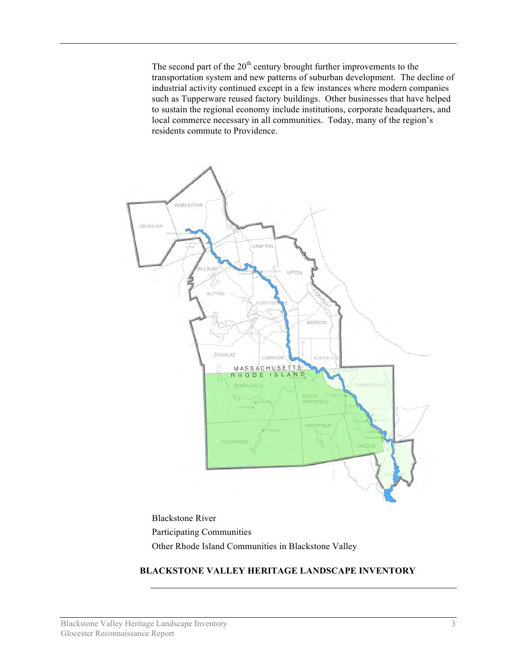The second part of the  $20<sup>th</sup>$  century brought further improvements to the transportation system and new patterns of suburban development. The decline of industrial activity continued except in a few instances where modern companies such as Tupperware reused factory buildings. Other businesses that have helped to sustain the regional economy include institutions, corporate headquarters, and local commerce necessary in all communities. Today, many of the region's residents commute to Providence.



Blackstone River Participating Communities Other Rhode Island Communities in Blackstone Valley

# **BLACKSTONE VALLEY HERITAGE LANDSCAPE INVENTORY**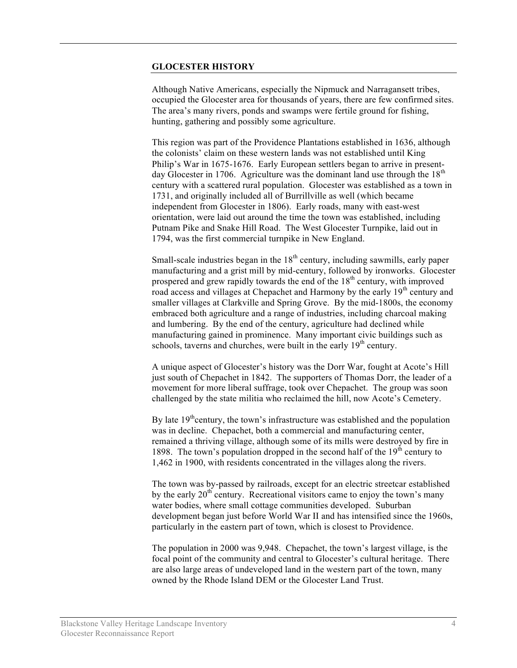#### **GLOCESTER HISTORY**

Although Native Americans, especially the Nipmuck and Narragansett tribes, occupied the Glocester area for thousands of years, there are few confirmed sites. The area's many rivers, ponds and swamps were fertile ground for fishing, hunting, gathering and possibly some agriculture.

This region was part of the Providence Plantations established in 1636, although the colonists' claim on these western lands was not established until King Philip's War in 1675-1676. Early European settlers began to arrive in presentday Glocester in 1706. Agriculture was the dominant land use through the  $18<sup>th</sup>$ century with a scattered rural population. Glocester was established as a town in 1731, and originally included all of Burrillville as well (which became independent from Glocester in 1806). Early roads, many with east-west orientation, were laid out around the time the town was established, including Putnam Pike and Snake Hill Road. The West Glocester Turnpike, laid out in 1794, was the first commercial turnpike in New England.

Small-scale industries began in the  $18<sup>th</sup>$  century, including sawmills, early paper manufacturing and a grist mill by mid-century, followed by ironworks. Glocester prospered and grew rapidly towards the end of the  $18<sup>th</sup>$  century, with improved road access and villages at Chepachet and Harmony by the early 19<sup>th</sup> century and smaller villages at Clarkville and Spring Grove. By the mid-1800s, the economy embraced both agriculture and a range of industries, including charcoal making and lumbering. By the end of the century, agriculture had declined while manufacturing gained in prominence. Many important civic buildings such as schools, taverns and churches, were built in the early  $19<sup>th</sup>$  century.

A unique aspect of Glocester's history was the Dorr War, fought at Acote's Hill just south of Chepachet in 1842. The supporters of Thomas Dorr, the leader of a movement for more liberal suffrage, took over Chepachet. The group was soon challenged by the state militia who reclaimed the hill, now Acote's Cemetery.

By late  $19<sup>th</sup>$ century, the town's infrastructure was established and the population was in decline. Chepachet, both a commercial and manufacturing center, remained a thriving village, although some of its mills were destroyed by fire in 1898. The town's population dropped in the second half of the  $19<sup>th</sup>$  century to 1,462 in 1900, with residents concentrated in the villages along the rivers.

The town was by-passed by railroads, except for an electric streetcar established by the early  $20<sup>th</sup>$  century. Recreational visitors came to enjoy the town's many water bodies, where small cottage communities developed. Suburban development began just before World War II and has intensified since the 1960s, particularly in the eastern part of town, which is closest to Providence.

The population in 2000 was 9,948. Chepachet, the town's largest village, is the focal point of the community and central to Glocester's cultural heritage. There are also large areas of undeveloped land in the western part of the town, many owned by the Rhode Island DEM or the Glocester Land Trust.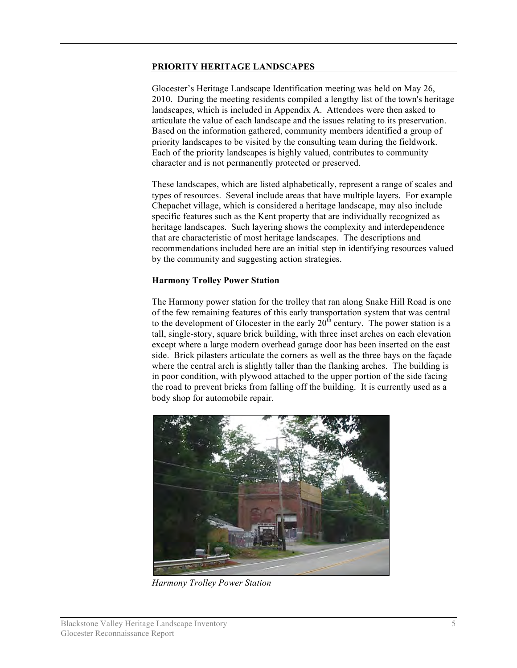#### **PRIORITY HERITAGE LANDSCAPES**

Glocester's Heritage Landscape Identification meeting was held on May 26, 2010. During the meeting residents compiled a lengthy list of the town's heritage landscapes, which is included in Appendix A. Attendees were then asked to articulate the value of each landscape and the issues relating to its preservation. Based on the information gathered, community members identified a group of priority landscapes to be visited by the consulting team during the fieldwork. Each of the priority landscapes is highly valued, contributes to community character and is not permanently protected or preserved.

These landscapes, which are listed alphabetically, represent a range of scales and types of resources. Several include areas that have multiple layers. For example Chepachet village, which is considered a heritage landscape, may also include specific features such as the Kent property that are individually recognized as heritage landscapes. Such layering shows the complexity and interdependence that are characteristic of most heritage landscapes. The descriptions and recommendations included here are an initial step in identifying resources valued by the community and suggesting action strategies.

## **Harmony Trolley Power Station**

The Harmony power station for the trolley that ran along Snake Hill Road is one of the few remaining features of this early transportation system that was central to the development of Glocester in the early  $20<sup>th</sup>$  century. The power station is a tall, single-story, square brick building, with three inset arches on each elevation except where a large modern overhead garage door has been inserted on the east side. Brick pilasters articulate the corners as well as the three bays on the façade where the central arch is slightly taller than the flanking arches. The building is in poor condition, with plywood attached to the upper portion of the side facing the road to prevent bricks from falling off the building. It is currently used as a body shop for automobile repair.



*Harmony Trolley Power Station*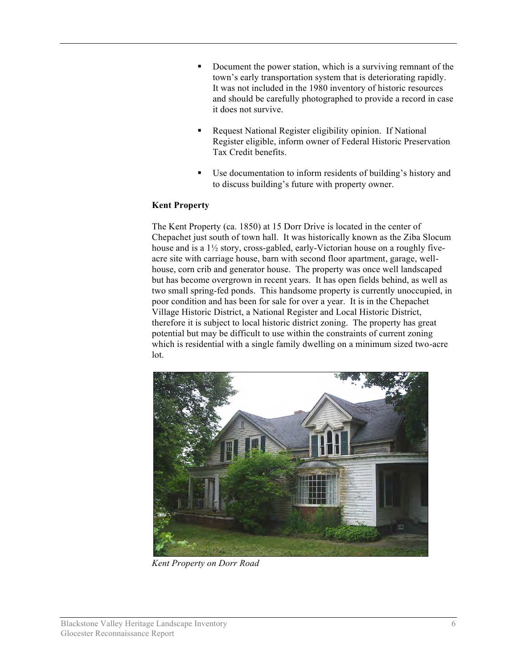- Document the power station, which is a surviving remnant of the town's early transportation system that is deteriorating rapidly. It was not included in the 1980 inventory of historic resources and should be carefully photographed to provide a record in case it does not survive.
- Request National Register eligibility opinion. If National Register eligible, inform owner of Federal Historic Preservation Tax Credit benefits.
- Use documentation to inform residents of building's history and to discuss building's future with property owner.

# **Kent Property**

The Kent Property (ca. 1850) at 15 Dorr Drive is located in the center of Chepachet just south of town hall. It was historically known as the Ziba Slocum house and is a 1½ story, cross-gabled, early-Victorian house on a roughly fiveacre site with carriage house, barn with second floor apartment, garage, wellhouse, corn crib and generator house. The property was once well landscaped but has become overgrown in recent years. It has open fields behind, as well as two small spring-fed ponds. This handsome property is currently unoccupied, in poor condition and has been for sale for over a year. It is in the Chepachet Village Historic District, a National Register and Local Historic District, therefore it is subject to local historic district zoning. The property has great potential but may be difficult to use within the constraints of current zoning which is residential with a single family dwelling on a minimum sized two-acre lot.



*Kent Property on Dorr Road*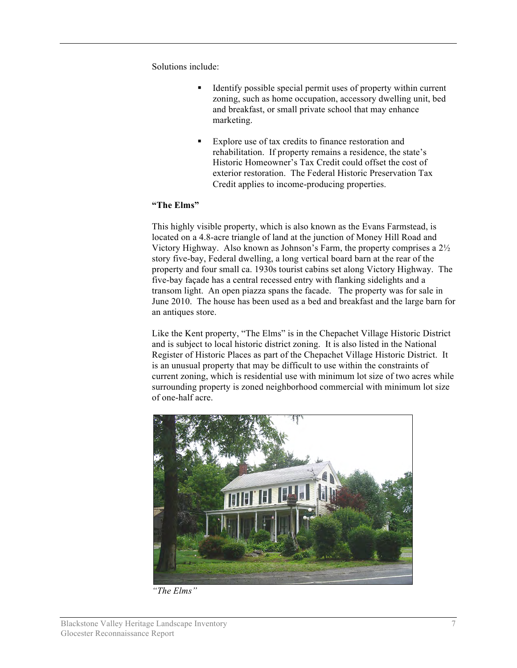Solutions include:

- Identify possible special permit uses of property within current zoning, such as home occupation, accessory dwelling unit, bed and breakfast, or small private school that may enhance marketing.
- Explore use of tax credits to finance restoration and rehabilitation. If property remains a residence, the state's Historic Homeowner's Tax Credit could offset the cost of exterior restoration. The Federal Historic Preservation Tax Credit applies to income-producing properties.

## **"The Elms"**

This highly visible property, which is also known as the Evans Farmstead, is located on a 4.8-acre triangle of land at the junction of Money Hill Road and Victory Highway. Also known as Johnson's Farm, the property comprises a 2½ story five-bay, Federal dwelling, a long vertical board barn at the rear of the property and four small ca. 1930s tourist cabins set along Victory Highway. The five-bay façade has a central recessed entry with flanking sidelights and a transom light. An open piazza spans the facade. The property was for sale in June 2010. The house has been used as a bed and breakfast and the large barn for an antiques store.

Like the Kent property, "The Elms" is in the Chepachet Village Historic District and is subject to local historic district zoning. It is also listed in the National Register of Historic Places as part of the Chepachet Village Historic District. It is an unusual property that may be difficult to use within the constraints of current zoning, which is residential use with minimum lot size of two acres while surrounding property is zoned neighborhood commercial with minimum lot size of one-half acre.



*"The Elms"*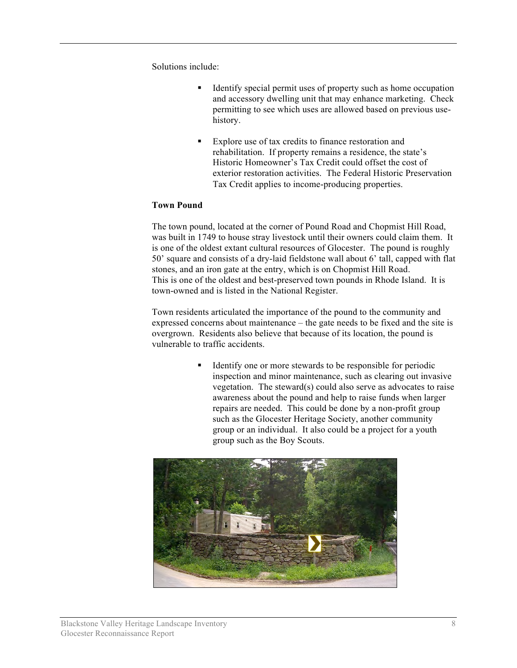Solutions include:

- Identify special permit uses of property such as home occupation and accessory dwelling unit that may enhance marketing. Check permitting to see which uses are allowed based on previous usehistory.
- Explore use of tax credits to finance restoration and rehabilitation. If property remains a residence, the state's Historic Homeowner's Tax Credit could offset the cost of exterior restoration activities. The Federal Historic Preservation Tax Credit applies to income-producing properties.

## **Town Pound**

The town pound, located at the corner of Pound Road and Chopmist Hill Road, was built in 1749 to house stray livestock until their owners could claim them. It is one of the oldest extant cultural resources of Glocester. The pound is roughly 50' square and consists of a dry-laid fieldstone wall about 6' tall, capped with flat stones, and an iron gate at the entry, which is on Chopmist Hill Road. This is one of the oldest and best-preserved town pounds in Rhode Island. It is town-owned and is listed in the National Register.

Town residents articulated the importance of the pound to the community and expressed concerns about maintenance – the gate needs to be fixed and the site is overgrown. Residents also believe that because of its location, the pound is vulnerable to traffic accidents.

> Identify one or more stewards to be responsible for periodic inspection and minor maintenance, such as clearing out invasive vegetation. The steward(s) could also serve as advocates to raise awareness about the pound and help to raise funds when larger repairs are needed. This could be done by a non-profit group such as the Glocester Heritage Society, another community group or an individual. It also could be a project for a youth group such as the Boy Scouts.

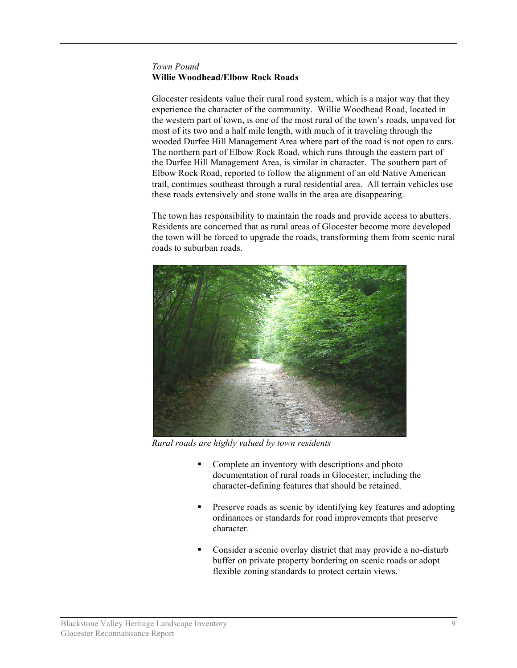## *Town Pound*  **Willie Woodhead/Elbow Rock Roads**

Glocester residents value their rural road system, which is a major way that they experience the character of the community. Willie Woodhead Road, located in the western part of town, is one of the most rural of the town's roads, unpaved for most of its two and a half mile length, with much of it traveling through the wooded Durfee Hill Management Area where part of the road is not open to cars. The northern part of Elbow Rock Road, which runs through the eastern part of the Durfee Hill Management Area, is similar in character. The southern part of Elbow Rock Road, reported to follow the alignment of an old Native American trail, continues southeast through a rural residential area. All terrain vehicles use these roads extensively and stone walls in the area are disappearing.

The town has responsibility to maintain the roads and provide access to abutters. Residents are concerned that as rural areas of Glocester become more developed the town will be forced to upgrade the roads, transforming them from scenic rural roads to suburban roads.



*Rural roads are highly valued by town residents*

- Complete an inventory with descriptions and photo documentation of rural roads in Glocester, including the character-defining features that should be retained.
- **Preserve roads as scenic by identifying key features and adopting** ordinances or standards for road improvements that preserve character.
- Consider a scenic overlay district that may provide a no-disturb buffer on private property bordering on scenic roads or adopt flexible zoning standards to protect certain views.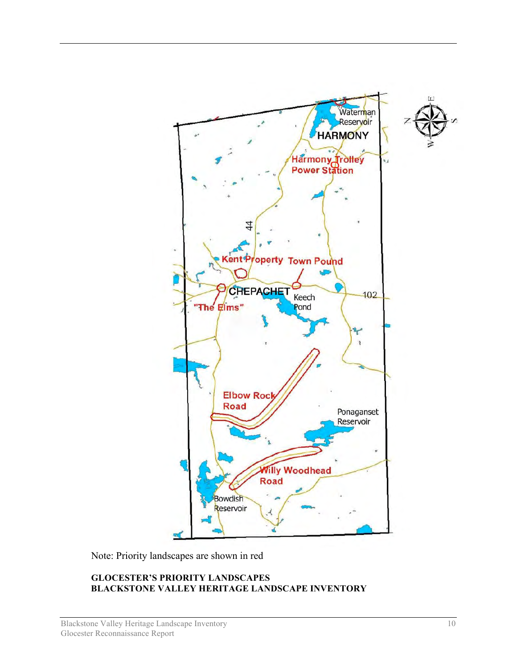

Note: Priority landscapes are shown in red

## **GLOCESTER'S PRIORITY LANDSCAPES BLACKSTONE VALLEY HERITAGE LANDSCAPE INVENTORY**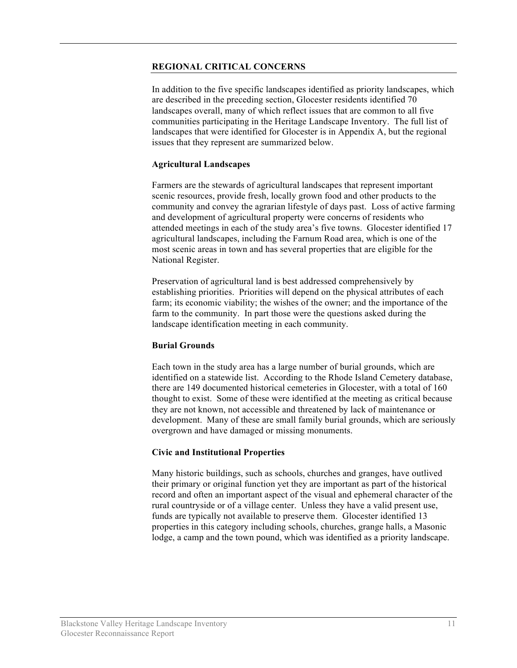#### **REGIONAL CRITICAL CONCERNS**

In addition to the five specific landscapes identified as priority landscapes, which are described in the preceding section, Glocester residents identified 70 landscapes overall, many of which reflect issues that are common to all five communities participating in the Heritage Landscape Inventory. The full list of landscapes that were identified for Glocester is in Appendix A, but the regional issues that they represent are summarized below.

## **Agricultural Landscapes**

Farmers are the stewards of agricultural landscapes that represent important scenic resources, provide fresh, locally grown food and other products to the community and convey the agrarian lifestyle of days past. Loss of active farming and development of agricultural property were concerns of residents who attended meetings in each of the study area's five towns. Glocester identified 17 agricultural landscapes, including the Farnum Road area, which is one of the most scenic areas in town and has several properties that are eligible for the National Register.

Preservation of agricultural land is best addressed comprehensively by establishing priorities. Priorities will depend on the physical attributes of each farm; its economic viability; the wishes of the owner; and the importance of the farm to the community. In part those were the questions asked during the landscape identification meeting in each community.

## **Burial Grounds**

Each town in the study area has a large number of burial grounds, which are identified on a statewide list. According to the Rhode Island Cemetery database, there are 149 documented historical cemeteries in Glocester, with a total of 160 thought to exist. Some of these were identified at the meeting as critical because they are not known, not accessible and threatened by lack of maintenance or development. Many of these are small family burial grounds, which are seriously overgrown and have damaged or missing monuments.

## **Civic and Institutional Properties**

Many historic buildings, such as schools, churches and granges, have outlived their primary or original function yet they are important as part of the historical record and often an important aspect of the visual and ephemeral character of the rural countryside or of a village center. Unless they have a valid present use, funds are typically not available to preserve them. Glocester identified 13 properties in this category including schools, churches, grange halls, a Masonic lodge, a camp and the town pound, which was identified as a priority landscape.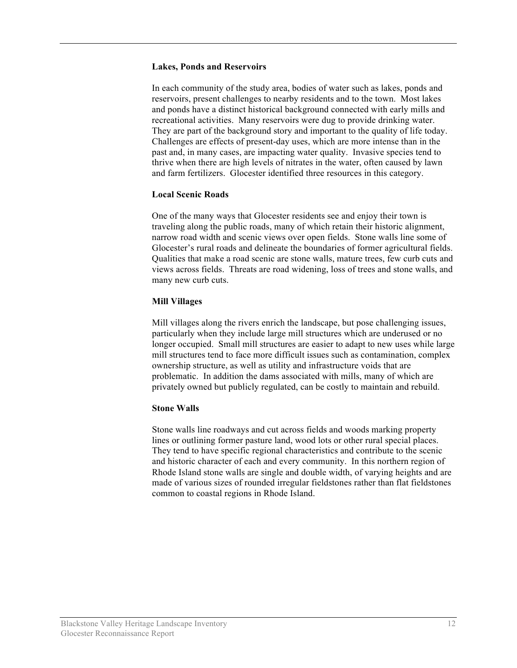#### **Lakes, Ponds and Reservoirs**

In each community of the study area, bodies of water such as lakes, ponds and reservoirs, present challenges to nearby residents and to the town. Most lakes and ponds have a distinct historical background connected with early mills and recreational activities. Many reservoirs were dug to provide drinking water. They are part of the background story and important to the quality of life today. Challenges are effects of present-day uses, which are more intense than in the past and, in many cases, are impacting water quality. Invasive species tend to thrive when there are high levels of nitrates in the water, often caused by lawn and farm fertilizers. Glocester identified three resources in this category.

## **Local Scenic Roads**

One of the many ways that Glocester residents see and enjoy their town is traveling along the public roads, many of which retain their historic alignment, narrow road width and scenic views over open fields. Stone walls line some of Glocester's rural roads and delineate the boundaries of former agricultural fields. Qualities that make a road scenic are stone walls, mature trees, few curb cuts and views across fields. Threats are road widening, loss of trees and stone walls, and many new curb cuts.

## **Mill Villages**

Mill villages along the rivers enrich the landscape, but pose challenging issues, particularly when they include large mill structures which are underused or no longer occupied. Small mill structures are easier to adapt to new uses while large mill structures tend to face more difficult issues such as contamination, complex ownership structure, as well as utility and infrastructure voids that are problematic. In addition the dams associated with mills, many of which are privately owned but publicly regulated, can be costly to maintain and rebuild.

#### **Stone Walls**

Stone walls line roadways and cut across fields and woods marking property lines or outlining former pasture land, wood lots or other rural special places. They tend to have specific regional characteristics and contribute to the scenic and historic character of each and every community. In this northern region of Rhode Island stone walls are single and double width, of varying heights and are made of various sizes of rounded irregular fieldstones rather than flat fieldstones common to coastal regions in Rhode Island.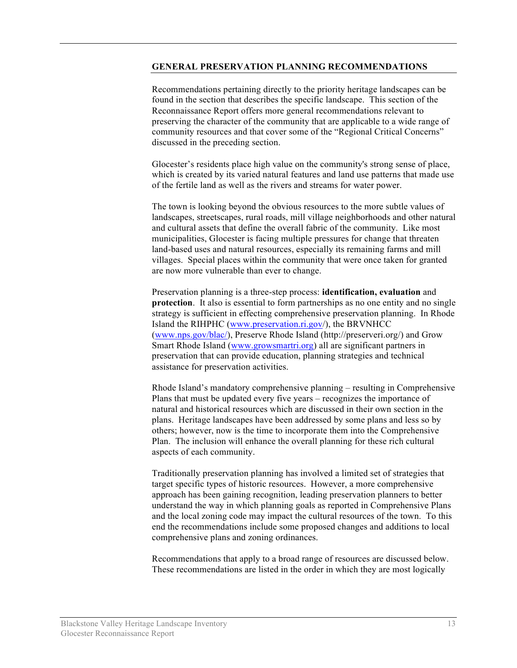#### **GENERAL PRESERVATION PLANNING RECOMMENDATIONS**

Recommendations pertaining directly to the priority heritage landscapes can be found in the section that describes the specific landscape. This section of the Reconnaissance Report offers more general recommendations relevant to preserving the character of the community that are applicable to a wide range of community resources and that cover some of the "Regional Critical Concerns" discussed in the preceding section.

Glocester's residents place high value on the community's strong sense of place, which is created by its varied natural features and land use patterns that made use of the fertile land as well as the rivers and streams for water power.

The town is looking beyond the obvious resources to the more subtle values of landscapes, streetscapes, rural roads, mill village neighborhoods and other natural and cultural assets that define the overall fabric of the community. Like most municipalities, Glocester is facing multiple pressures for change that threaten land-based uses and natural resources, especially its remaining farms and mill villages. Special places within the community that were once taken for granted are now more vulnerable than ever to change.

Preservation planning is a three-step process: **identification, evaluation** and **protection**. It also is essential to form partnerships as no one entity and no single strategy is sufficient in effecting comprehensive preservation planning. In Rhode Island the RIHPHC (www.preservation.ri.gov/), the BRVNHCC (www.nps.gov/blac/), Preserve Rhode Island (http://preserveri.org/) and Grow Smart Rhode Island (www.growsmartri.org) all are significant partners in preservation that can provide education, planning strategies and technical assistance for preservation activities.

Rhode Island's mandatory comprehensive planning – resulting in Comprehensive Plans that must be updated every five years – recognizes the importance of natural and historical resources which are discussed in their own section in the plans. Heritage landscapes have been addressed by some plans and less so by others; however, now is the time to incorporate them into the Comprehensive Plan. The inclusion will enhance the overall planning for these rich cultural aspects of each community.

Traditionally preservation planning has involved a limited set of strategies that target specific types of historic resources. However, a more comprehensive approach has been gaining recognition, leading preservation planners to better understand the way in which planning goals as reported in Comprehensive Plans and the local zoning code may impact the cultural resources of the town. To this end the recommendations include some proposed changes and additions to local comprehensive plans and zoning ordinances.

Recommendations that apply to a broad range of resources are discussed below. These recommendations are listed in the order in which they are most logically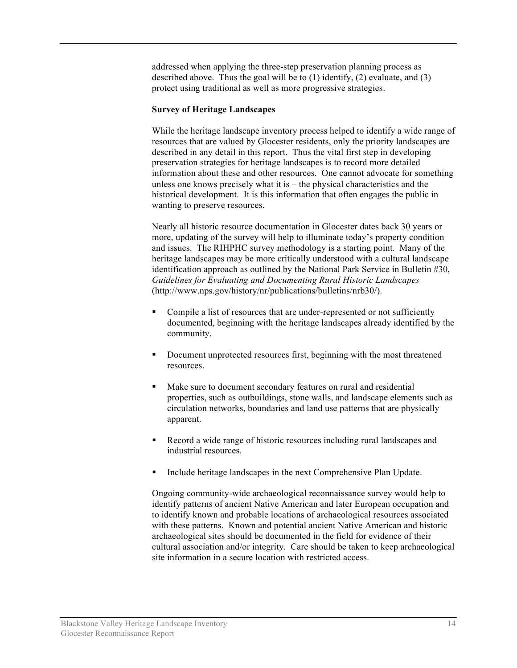addressed when applying the three-step preservation planning process as described above. Thus the goal will be to  $(1)$  identify,  $(2)$  evaluate, and  $(3)$ protect using traditional as well as more progressive strategies.

#### **Survey of Heritage Landscapes**

While the heritage landscape inventory process helped to identify a wide range of resources that are valued by Glocester residents, only the priority landscapes are described in any detail in this report. Thus the vital first step in developing preservation strategies for heritage landscapes is to record more detailed information about these and other resources. One cannot advocate for something unless one knows precisely what it is – the physical characteristics and the historical development. It is this information that often engages the public in wanting to preserve resources.

Nearly all historic resource documentation in Glocester dates back 30 years or more, updating of the survey will help to illuminate today's property condition and issues. The RIHPHC survey methodology is a starting point. Many of the heritage landscapes may be more critically understood with a cultural landscape identification approach as outlined by the National Park Service in Bulletin #30, *Guidelines for Evaluating and Documenting Rural Historic Landscapes* (http://www.nps.gov/history/nr/publications/bulletins/nrb30/).

- Compile a list of resources that are under-represented or not sufficiently documented, beginning with the heritage landscapes already identified by the community.
- Document unprotected resources first, beginning with the most threatened resources.
- Make sure to document secondary features on rural and residential properties, such as outbuildings, stone walls, and landscape elements such as circulation networks, boundaries and land use patterns that are physically apparent.
- Record a wide range of historic resources including rural landscapes and industrial resources.
- Include heritage landscapes in the next Comprehensive Plan Update.

Ongoing community-wide archaeological reconnaissance survey would help to identify patterns of ancient Native American and later European occupation and to identify known and probable locations of archaeological resources associated with these patterns. Known and potential ancient Native American and historic archaeological sites should be documented in the field for evidence of their cultural association and/or integrity. Care should be taken to keep archaeological site information in a secure location with restricted access.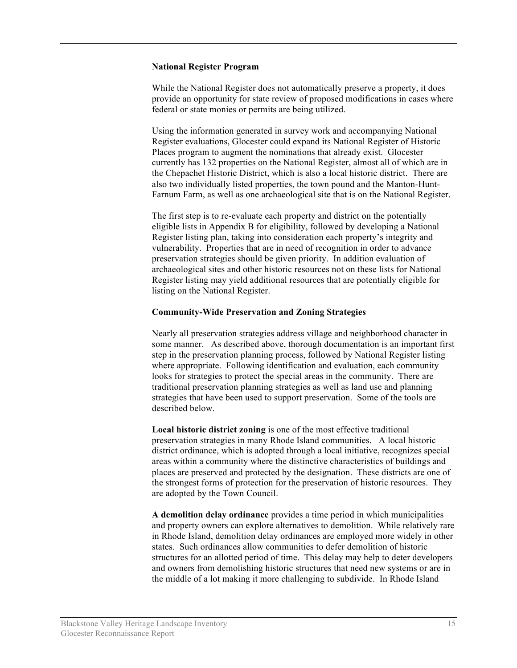#### **National Register Program**

While the National Register does not automatically preserve a property, it does provide an opportunity for state review of proposed modifications in cases where federal or state monies or permits are being utilized.

Using the information generated in survey work and accompanying National Register evaluations, Glocester could expand its National Register of Historic Places program to augment the nominations that already exist. Glocester currently has 132 properties on the National Register, almost all of which are in the Chepachet Historic District, which is also a local historic district. There are also two individually listed properties, the town pound and the Manton-Hunt-Farnum Farm, as well as one archaeological site that is on the National Register.

The first step is to re-evaluate each property and district on the potentially eligible lists in Appendix B for eligibility, followed by developing a National Register listing plan, taking into consideration each property's integrity and vulnerability. Properties that are in need of recognition in order to advance preservation strategies should be given priority. In addition evaluation of archaeological sites and other historic resources not on these lists for National Register listing may yield additional resources that are potentially eligible for listing on the National Register.

#### **Community-Wide Preservation and Zoning Strategies**

Nearly all preservation strategies address village and neighborhood character in some manner. As described above, thorough documentation is an important first step in the preservation planning process, followed by National Register listing where appropriate. Following identification and evaluation, each community looks for strategies to protect the special areas in the community. There are traditional preservation planning strategies as well as land use and planning strategies that have been used to support preservation. Some of the tools are described below.

**Local historic district zoning** is one of the most effective traditional preservation strategies in many Rhode Island communities. A local historic district ordinance, which is adopted through a local initiative, recognizes special areas within a community where the distinctive characteristics of buildings and places are preserved and protected by the designation. These districts are one of the strongest forms of protection for the preservation of historic resources. They are adopted by the Town Council.

**A demolition delay ordinance** provides a time period in which municipalities and property owners can explore alternatives to demolition. While relatively rare in Rhode Island, demolition delay ordinances are employed more widely in other states. Such ordinances allow communities to defer demolition of historic structures for an allotted period of time. This delay may help to deter developers and owners from demolishing historic structures that need new systems or are in the middle of a lot making it more challenging to subdivide. In Rhode Island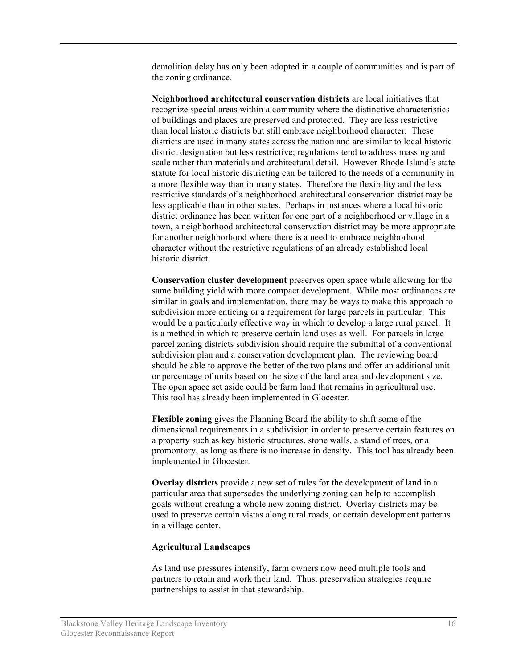demolition delay has only been adopted in a couple of communities and is part of the zoning ordinance.

**Neighborhood architectural conservation districts** are local initiatives that recognize special areas within a community where the distinctive characteristics of buildings and places are preserved and protected. They are less restrictive than local historic districts but still embrace neighborhood character. These districts are used in many states across the nation and are similar to local historic district designation but less restrictive; regulations tend to address massing and scale rather than materials and architectural detail. However Rhode Island's state statute for local historic districting can be tailored to the needs of a community in a more flexible way than in many states. Therefore the flexibility and the less restrictive standards of a neighborhood architectural conservation district may be less applicable than in other states. Perhaps in instances where a local historic district ordinance has been written for one part of a neighborhood or village in a town, a neighborhood architectural conservation district may be more appropriate for another neighborhood where there is a need to embrace neighborhood character without the restrictive regulations of an already established local historic district.

**Conservation cluster development** preserves open space while allowing for the same building yield with more compact development. While most ordinances are similar in goals and implementation, there may be ways to make this approach to subdivision more enticing or a requirement for large parcels in particular. This would be a particularly effective way in which to develop a large rural parcel. It is a method in which to preserve certain land uses as well. For parcels in large parcel zoning districts subdivision should require the submittal of a conventional subdivision plan and a conservation development plan. The reviewing board should be able to approve the better of the two plans and offer an additional unit or percentage of units based on the size of the land area and development size. The open space set aside could be farm land that remains in agricultural use. This tool has already been implemented in Glocester.

**Flexible zoning** gives the Planning Board the ability to shift some of the dimensional requirements in a subdivision in order to preserve certain features on a property such as key historic structures, stone walls, a stand of trees, or a promontory, as long as there is no increase in density. This tool has already been implemented in Glocester.

**Overlay districts** provide a new set of rules for the development of land in a particular area that supersedes the underlying zoning can help to accomplish goals without creating a whole new zoning district. Overlay districts may be used to preserve certain vistas along rural roads, or certain development patterns in a village center.

#### **Agricultural Landscapes**

As land use pressures intensify, farm owners now need multiple tools and partners to retain and work their land. Thus, preservation strategies require partnerships to assist in that stewardship.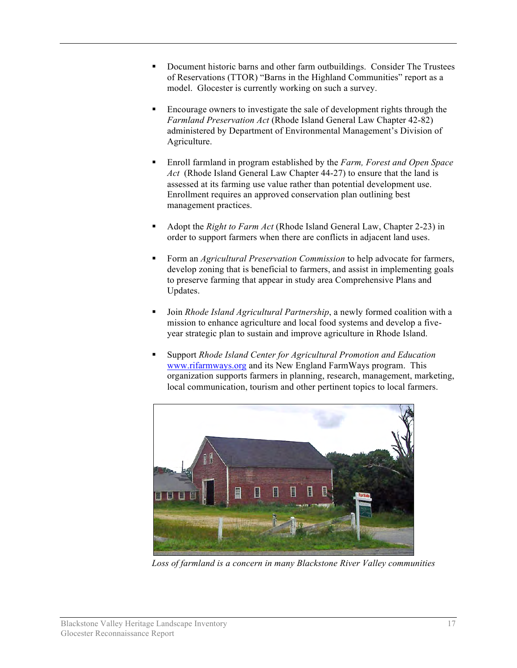- Document historic barns and other farm outbuildings. Consider The Trustees of Reservations (TTOR) "Barns in the Highland Communities" report as a model. Glocester is currently working on such a survey.
- Encourage owners to investigate the sale of development rights through the *Farmland Preservation Act* (Rhode Island General Law Chapter 42-82) administered by Department of Environmental Management's Division of Agriculture.
- Enroll farmland in program established by the *Farm, Forest and Open Space Act* (Rhode Island General Law Chapter 44-27) to ensure that the land is assessed at its farming use value rather than potential development use. Enrollment requires an approved conservation plan outlining best management practices.
- Adopt the *Right to Farm Act* (Rhode Island General Law, Chapter 2-23) in order to support farmers when there are conflicts in adjacent land uses.
- Form an *Agricultural Preservation Commission* to help advocate for farmers, develop zoning that is beneficial to farmers, and assist in implementing goals to preserve farming that appear in study area Comprehensive Plans and Updates.
- Join *Rhode Island Agricultural Partnership*, a newly formed coalition with a mission to enhance agriculture and local food systems and develop a fiveyear strategic plan to sustain and improve agriculture in Rhode Island.
- Support *Rhode Island Center for Agricultural Promotion and Education* www.rifarmways.org and its New England FarmWays program. This organization supports farmers in planning, research, management, marketing, local communication, tourism and other pertinent topics to local farmers.



*Loss of farmland is a concern in many Blackstone River Valley communities*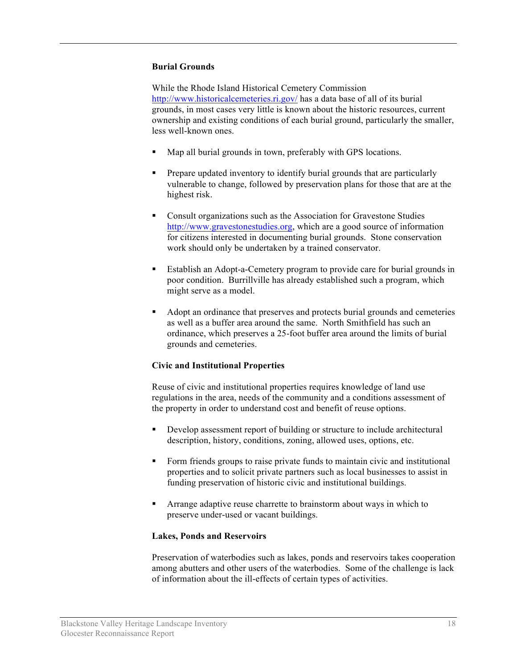## **Burial Grounds**

While the Rhode Island Historical Cemetery Commission http://www.historicalcemeteries.ri.gov/ has a data base of all of its burial grounds, in most cases very little is known about the historic resources, current ownership and existing conditions of each burial ground, particularly the smaller, less well-known ones.

- Map all burial grounds in town, preferably with GPS locations.
- Prepare updated inventory to identify burial grounds that are particularly vulnerable to change, followed by preservation plans for those that are at the highest risk.
- Consult organizations such as the Association for Gravestone Studies http://www.gravestonestudies.org, which are a good source of information for citizens interested in documenting burial grounds. Stone conservation work should only be undertaken by a trained conservator.
- Establish an Adopt-a-Cemetery program to provide care for burial grounds in poor condition. Burrillville has already established such a program, which might serve as a model.
- Adopt an ordinance that preserves and protects burial grounds and cemeteries as well as a buffer area around the same. North Smithfield has such an ordinance, which preserves a 25-foot buffer area around the limits of burial grounds and cemeteries.

#### **Civic and Institutional Properties**

Reuse of civic and institutional properties requires knowledge of land use regulations in the area, needs of the community and a conditions assessment of the property in order to understand cost and benefit of reuse options.

- Develop assessment report of building or structure to include architectural description, history, conditions, zoning, allowed uses, options, etc.
- Form friends groups to raise private funds to maintain civic and institutional properties and to solicit private partners such as local businesses to assist in funding preservation of historic civic and institutional buildings.
- Arrange adaptive reuse charrette to brainstorm about ways in which to preserve under-used or vacant buildings.

#### **Lakes, Ponds and Reservoirs**

Preservation of waterbodies such as lakes, ponds and reservoirs takes cooperation among abutters and other users of the waterbodies. Some of the challenge is lack of information about the ill-effects of certain types of activities.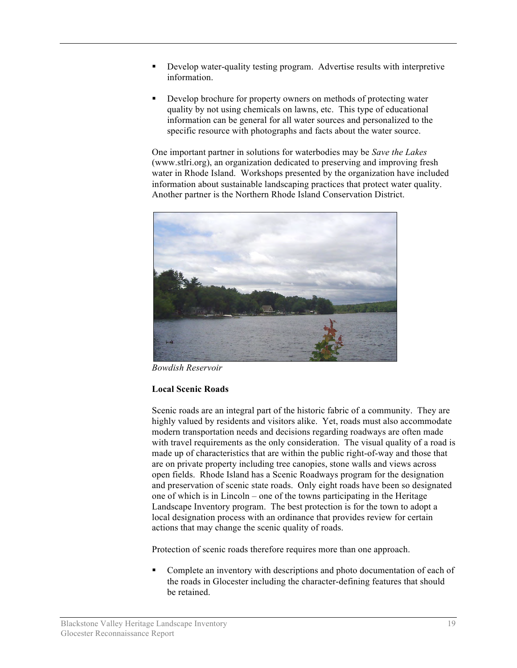- Develop water-quality testing program. Advertise results with interpretive information.
- Develop brochure for property owners on methods of protecting water quality by not using chemicals on lawns, etc. This type of educational information can be general for all water sources and personalized to the specific resource with photographs and facts about the water source.

One important partner in solutions for waterbodies may be *Save the Lakes* (www.stlri.org), an organization dedicated to preserving and improving fresh water in Rhode Island. Workshops presented by the organization have included information about sustainable landscaping practices that protect water quality. Another partner is the Northern Rhode Island Conservation District.



*Bowdish Reservoir*

## **Local Scenic Roads**

Scenic roads are an integral part of the historic fabric of a community. They are highly valued by residents and visitors alike. Yet, roads must also accommodate modern transportation needs and decisions regarding roadways are often made with travel requirements as the only consideration. The visual quality of a road is made up of characteristics that are within the public right-of-way and those that are on private property including tree canopies, stone walls and views across open fields. Rhode Island has a Scenic Roadways program for the designation and preservation of scenic state roads. Only eight roads have been so designated one of which is in Lincoln – one of the towns participating in the Heritage Landscape Inventory program. The best protection is for the town to adopt a local designation process with an ordinance that provides review for certain actions that may change the scenic quality of roads.

Protection of scenic roads therefore requires more than one approach.

 Complete an inventory with descriptions and photo documentation of each of the roads in Glocester including the character-defining features that should be retained.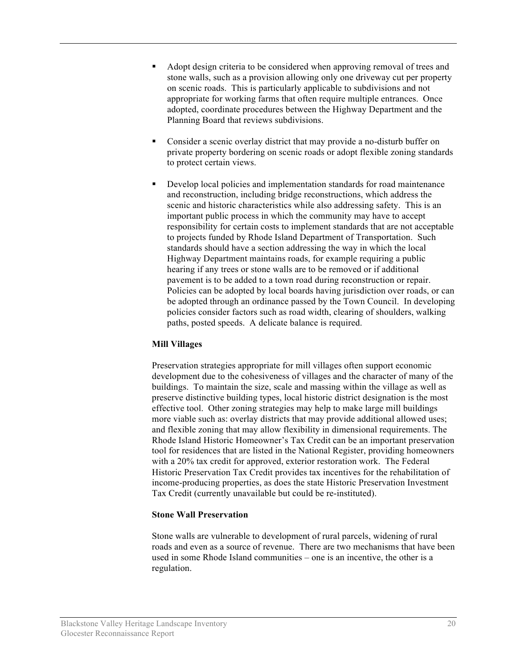- Adopt design criteria to be considered when approving removal of trees and stone walls, such as a provision allowing only one driveway cut per property on scenic roads. This is particularly applicable to subdivisions and not appropriate for working farms that often require multiple entrances. Once adopted, coordinate procedures between the Highway Department and the Planning Board that reviews subdivisions.
- Consider a scenic overlay district that may provide a no-disturb buffer on private property bordering on scenic roads or adopt flexible zoning standards to protect certain views.
- Develop local policies and implementation standards for road maintenance and reconstruction, including bridge reconstructions, which address the scenic and historic characteristics while also addressing safety. This is an important public process in which the community may have to accept responsibility for certain costs to implement standards that are not acceptable to projects funded by Rhode Island Department of Transportation. Such standards should have a section addressing the way in which the local Highway Department maintains roads, for example requiring a public hearing if any trees or stone walls are to be removed or if additional pavement is to be added to a town road during reconstruction or repair. Policies can be adopted by local boards having jurisdiction over roads, or can be adopted through an ordinance passed by the Town Council. In developing policies consider factors such as road width, clearing of shoulders, walking paths, posted speeds. A delicate balance is required.

## **Mill Villages**

Preservation strategies appropriate for mill villages often support economic development due to the cohesiveness of villages and the character of many of the buildings. To maintain the size, scale and massing within the village as well as preserve distinctive building types, local historic district designation is the most effective tool. Other zoning strategies may help to make large mill buildings more viable such as: overlay districts that may provide additional allowed uses; and flexible zoning that may allow flexibility in dimensional requirements. The Rhode Island Historic Homeowner's Tax Credit can be an important preservation tool for residences that are listed in the National Register, providing homeowners with a 20% tax credit for approved, exterior restoration work. The Federal Historic Preservation Tax Credit provides tax incentives for the rehabilitation of income-producing properties, as does the state Historic Preservation Investment Tax Credit (currently unavailable but could be re-instituted).

## **Stone Wall Preservation**

Stone walls are vulnerable to development of rural parcels, widening of rural roads and even as a source of revenue. There are two mechanisms that have been used in some Rhode Island communities – one is an incentive, the other is a regulation.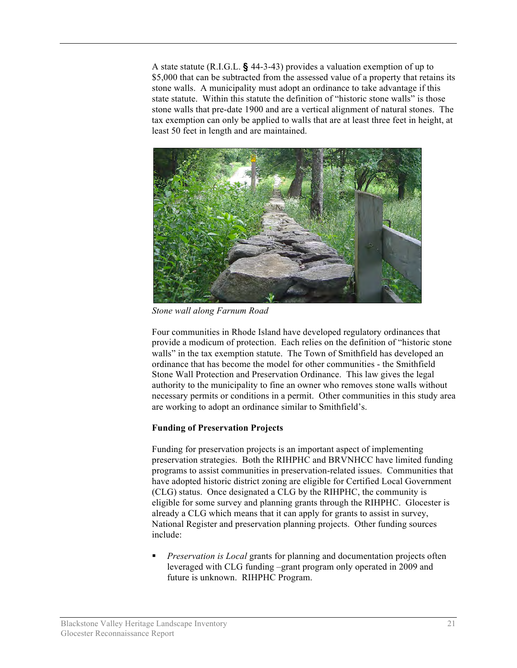A state statute (R.I.G.L. **§** 44-3-43) provides a valuation exemption of up to \$5,000 that can be subtracted from the assessed value of a property that retains its stone walls. A municipality must adopt an ordinance to take advantage if this state statute. Within this statute the definition of "historic stone walls" is those stone walls that pre-date 1900 and are a vertical alignment of natural stones. The tax exemption can only be applied to walls that are at least three feet in height, at least 50 feet in length and are maintained.



*Stone wall along Farnum Road*

Four communities in Rhode Island have developed regulatory ordinances that provide a modicum of protection. Each relies on the definition of "historic stone walls" in the tax exemption statute. The Town of Smithfield has developed an ordinance that has become the model for other communities - the Smithfield Stone Wall Protection and Preservation Ordinance. This law gives the legal authority to the municipality to fine an owner who removes stone walls without necessary permits or conditions in a permit. Other communities in this study area are working to adopt an ordinance similar to Smithfield's.

# **Funding of Preservation Projects**

Funding for preservation projects is an important aspect of implementing preservation strategies. Both the RIHPHC and BRVNHCC have limited funding programs to assist communities in preservation-related issues. Communities that have adopted historic district zoning are eligible for Certified Local Government (CLG) status. Once designated a CLG by the RIHPHC, the community is eligible for some survey and planning grants through the RIHPHC. Glocester is already a CLG which means that it can apply for grants to assist in survey, National Register and preservation planning projects. Other funding sources include:

 *Preservation is Local* grants for planning and documentation projects often leveraged with CLG funding –grant program only operated in 2009 and future is unknown. RIHPHC Program.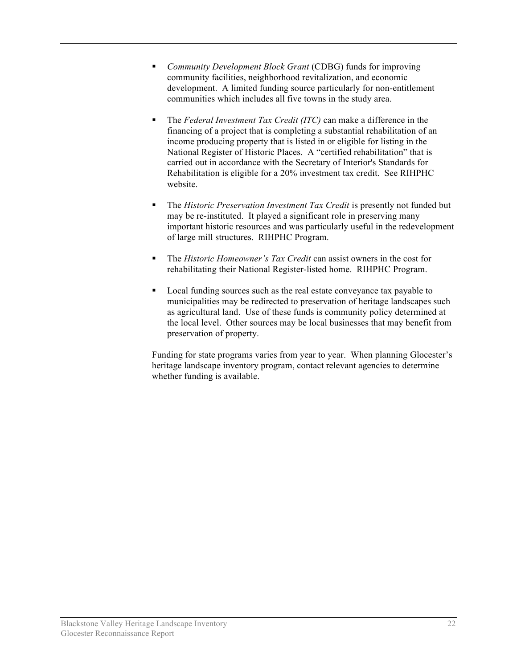- *Community Development Block Grant* (CDBG) funds for improving community facilities, neighborhood revitalization, and economic development. A limited funding source particularly for non-entitlement communities which includes all five towns in the study area.
- The *Federal Investment Tax Credit (ITC)* can make a difference in the financing of a project that is completing a substantial rehabilitation of an income producing property that is listed in or eligible for listing in the National Register of Historic Places. A "certified rehabilitation" that is carried out in accordance with the Secretary of Interior's Standards for Rehabilitation is eligible for a 20% investment tax credit. See RIHPHC website.
- The *Historic Preservation Investment Tax Credit* is presently not funded but may be re-instituted. It played a significant role in preserving many important historic resources and was particularly useful in the redevelopment of large mill structures. RIHPHC Program.
- The *Historic Homeowner's Tax Credit* can assist owners in the cost for rehabilitating their National Register-listed home. RIHPHC Program.
- Local funding sources such as the real estate conveyance tax payable to municipalities may be redirected to preservation of heritage landscapes such as agricultural land. Use of these funds is community policy determined at the local level. Other sources may be local businesses that may benefit from preservation of property.

Funding for state programs varies from year to year. When planning Glocester's heritage landscape inventory program, contact relevant agencies to determine whether funding is available.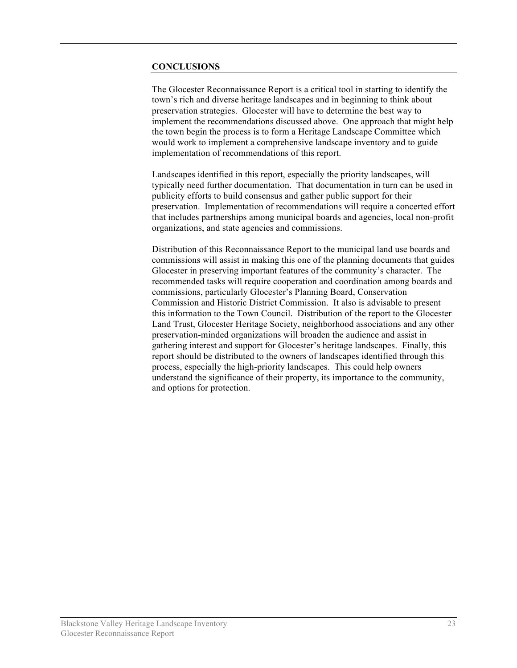#### **CONCLUSIONS**

The Glocester Reconnaissance Report is a critical tool in starting to identify the town's rich and diverse heritage landscapes and in beginning to think about preservation strategies. Glocester will have to determine the best way to implement the recommendations discussed above. One approach that might help the town begin the process is to form a Heritage Landscape Committee which would work to implement a comprehensive landscape inventory and to guide implementation of recommendations of this report.

Landscapes identified in this report, especially the priority landscapes, will typically need further documentation. That documentation in turn can be used in publicity efforts to build consensus and gather public support for their preservation. Implementation of recommendations will require a concerted effort that includes partnerships among municipal boards and agencies, local non-profit organizations, and state agencies and commissions.

Distribution of this Reconnaissance Report to the municipal land use boards and commissions will assist in making this one of the planning documents that guides Glocester in preserving important features of the community's character. The recommended tasks will require cooperation and coordination among boards and commissions, particularly Glocester's Planning Board, Conservation Commission and Historic District Commission. It also is advisable to present this information to the Town Council. Distribution of the report to the Glocester Land Trust, Glocester Heritage Society, neighborhood associations and any other preservation-minded organizations will broaden the audience and assist in gathering interest and support for Glocester's heritage landscapes. Finally, this report should be distributed to the owners of landscapes identified through this process, especially the high-priority landscapes. This could help owners understand the significance of their property, its importance to the community, and options for protection.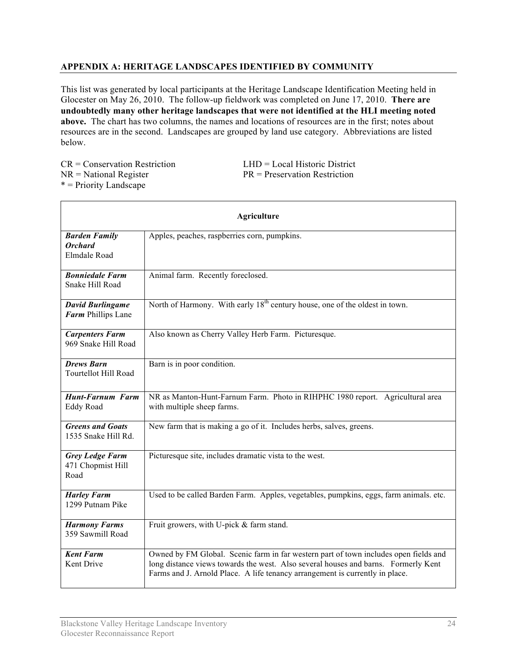# **APPENDIX A: HERITAGE LANDSCAPES IDENTIFIED BY COMMUNITY**

This list was generated by local participants at the Heritage Landscape Identification Meeting held in Glocester on May 26, 2010. The follow-up fieldwork was completed on June 17, 2010. **There are undoubtedly many other heritage landscapes that were not identified at the HLI meeting noted above.** The chart has two columns, the names and locations of resources are in the first; notes about resources are in the second. Landscapes are grouped by land use category. Abbreviations are listed below.

CR = Conservation Restriction LHD = Local Historic District  $NR = National Register$   $PR = preservation$   $Restriction$ \* = Priority Landscape

| <b>Agriculture</b>                                     |                                                                                                                                                                                                                                                            |
|--------------------------------------------------------|------------------------------------------------------------------------------------------------------------------------------------------------------------------------------------------------------------------------------------------------------------|
| <b>Barden Family</b><br><b>Orchard</b><br>Elmdale Road | Apples, peaches, raspberries corn, pumpkins.                                                                                                                                                                                                               |
| <b>Bonniedale Farm</b><br>Snake Hill Road              | Animal farm. Recently foreclosed.                                                                                                                                                                                                                          |
| <b>David Burlingame</b><br>Farm Phillips Lane          | North of Harmony. With early 18 <sup>th</sup> century house, one of the oldest in town.                                                                                                                                                                    |
| <b>Carpenters Farm</b><br>969 Snake Hill Road          | Also known as Cherry Valley Herb Farm. Picturesque.                                                                                                                                                                                                        |
| <b>Drews Barn</b><br><b>Tourtellot Hill Road</b>       | Barn is in poor condition.                                                                                                                                                                                                                                 |
| <b>Hunt-Farnum Farm</b><br>Eddy Road                   | NR as Manton-Hunt-Farnum Farm. Photo in RIHPHC 1980 report. Agricultural area<br>with multiple sheep farms.                                                                                                                                                |
| <b>Greens and Goats</b><br>1535 Snake Hill Rd.         | New farm that is making a go of it. Includes herbs, salves, greens.                                                                                                                                                                                        |
| <b>Grey Ledge Farm</b><br>471 Chopmist Hill<br>Road    | Picturesque site, includes dramatic vista to the west.                                                                                                                                                                                                     |
| <b>Harley Farm</b><br>1299 Putnam Pike                 | Used to be called Barden Farm. Apples, vegetables, pumpkins, eggs, farm animals. etc.                                                                                                                                                                      |
| <b>Harmony Farms</b><br>359 Sawmill Road               | Fruit growers, with U-pick & farm stand.                                                                                                                                                                                                                   |
| <b>Kent Farm</b><br><b>Kent Drive</b>                  | Owned by FM Global. Scenic farm in far western part of town includes open fields and<br>long distance views towards the west. Also several houses and barns. Formerly Kent<br>Farms and J. Arnold Place. A life tenancy arrangement is currently in place. |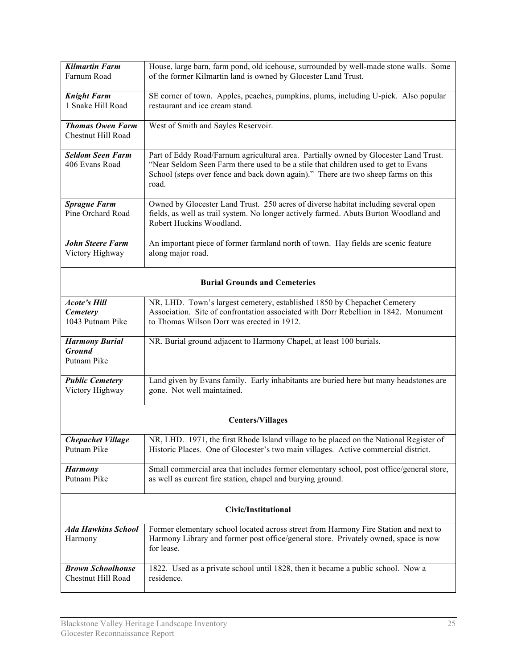| <b>Kilmartin Farm</b><br>Farnum Road                       | House, large barn, farm pond, old icehouse, surrounded by well-made stone walls. Some<br>of the former Kilmartin land is owned by Glocester Land Trust.                                                                                                                  |
|------------------------------------------------------------|--------------------------------------------------------------------------------------------------------------------------------------------------------------------------------------------------------------------------------------------------------------------------|
| <b>Knight Farm</b>                                         | SE corner of town. Apples, peaches, pumpkins, plums, including U-pick. Also popular                                                                                                                                                                                      |
| 1 Snake Hill Road                                          | restaurant and ice cream stand.                                                                                                                                                                                                                                          |
| <b>Thomas Owen Farm</b><br>Chestnut Hill Road              | West of Smith and Sayles Reservoir.                                                                                                                                                                                                                                      |
| <b>Seldom Seen Farm</b><br>406 Evans Road                  | Part of Eddy Road/Farnum agricultural area. Partially owned by Glocester Land Trust.<br>"Near Seldom Seen Farm there used to be a stile that children used to get to Evans<br>School (steps over fence and back down again)." There are two sheep farms on this<br>road. |
| <b>Sprague Farm</b><br>Pine Orchard Road                   | Owned by Glocester Land Trust. 250 acres of diverse habitat including several open<br>fields, as well as trail system. No longer actively farmed. Abuts Burton Woodland and<br>Robert Huckins Woodland.                                                                  |
| <b>John Steere Farm</b><br>Victory Highway                 | An important piece of former farmland north of town. Hay fields are scenic feature<br>along major road.                                                                                                                                                                  |
| <b>Burial Grounds and Cemeteries</b>                       |                                                                                                                                                                                                                                                                          |
| <b>Acote's Hill</b><br><b>Cemetery</b><br>1043 Putnam Pike | NR, LHD. Town's largest cemetery, established 1850 by Chepachet Cemetery<br>Association. Site of confrontation associated with Dorr Rebellion in 1842. Monument<br>to Thomas Wilson Dorr was erected in 1912.                                                            |
| <b>Harmony Burial</b><br><b>Ground</b><br>Putnam Pike      | NR. Burial ground adjacent to Harmony Chapel, at least 100 burials.                                                                                                                                                                                                      |
| <b>Public Cemetery</b><br>Victory Highway                  | Land given by Evans family. Early inhabitants are buried here but many headstones are<br>gone. Not well maintained.                                                                                                                                                      |
| <b>Centers/Villages</b>                                    |                                                                                                                                                                                                                                                                          |
| <b>Chepachet Village</b><br>Putnam Pike                    | NR, LHD. 1971, the first Rhode Island village to be placed on the National Register of<br>Historic Places. One of Glocester's two main villages. Active commercial district.                                                                                             |
| <b>Harmony</b><br>Putnam Pike                              | Small commercial area that includes former elementary school, post office/general store,<br>as well as current fire station, chapel and burying ground.                                                                                                                  |
| Civic/Institutional                                        |                                                                                                                                                                                                                                                                          |
| <b>Ada Hawkins School</b><br>Harmony                       | Former elementary school located across street from Harmony Fire Station and next to<br>Harmony Library and former post office/general store. Privately owned, space is now<br>for lease.                                                                                |
| <b>Brown Schoolhouse</b><br>Chestnut Hill Road             | 1822. Used as a private school until 1828, then it became a public school. Now a<br>residence.                                                                                                                                                                           |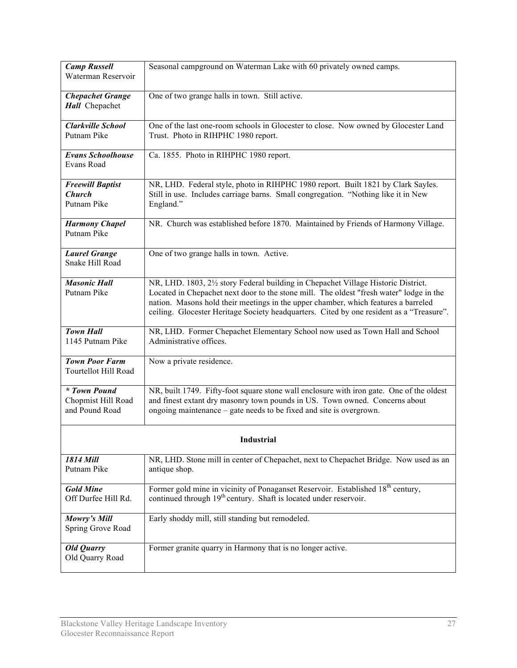| <b>Camp Russell</b><br>Waterman Reservoir               | Seasonal campground on Waterman Lake with 60 privately owned camps.                                                                                                                                                                                                                                                                                             |
|---------------------------------------------------------|-----------------------------------------------------------------------------------------------------------------------------------------------------------------------------------------------------------------------------------------------------------------------------------------------------------------------------------------------------------------|
| <b>Chepachet Grange</b><br>Hall Chepachet               | One of two grange halls in town. Still active.                                                                                                                                                                                                                                                                                                                  |
| <b>Clarkville School</b><br>Putnam Pike                 | One of the last one-room schools in Glocester to close. Now owned by Glocester Land<br>Trust. Photo in RIHPHC 1980 report.                                                                                                                                                                                                                                      |
| <b>Evans Schoolhouse</b><br>Evans Road                  | Ca. 1855. Photo in RIHPHC 1980 report.                                                                                                                                                                                                                                                                                                                          |
| <b>Freewill Baptist</b><br><b>Church</b><br>Putnam Pike | NR, LHD. Federal style, photo in RIHPHC 1980 report. Built 1821 by Clark Sayles.<br>Still in use. Includes carriage barns. Small congregation. "Nothing like it in New<br>England."                                                                                                                                                                             |
| <b>Harmony Chapel</b><br>Putnam Pike                    | NR. Church was established before 1870. Maintained by Friends of Harmony Village.                                                                                                                                                                                                                                                                               |
| <b>Laurel Grange</b><br>Snake Hill Road                 | One of two grange halls in town. Active.                                                                                                                                                                                                                                                                                                                        |
| <b>Masonic Hall</b><br>Putnam Pike                      | NR, LHD. 1803, 21/2 story Federal building in Chepachet Village Historic District.<br>Located in Chepachet next door to the stone mill. The oldest "fresh water" lodge in the<br>nation. Masons hold their meetings in the upper chamber, which features a barreled<br>ceiling. Glocester Heritage Society headquarters. Cited by one resident as a "Treasure". |
| <b>Town Hall</b><br>1145 Putnam Pike                    | NR, LHD. Former Chepachet Elementary School now used as Town Hall and School<br>Administrative offices.                                                                                                                                                                                                                                                         |
| <b>Town Poor Farm</b><br>Tourtellot Hill Road           | Now a private residence.                                                                                                                                                                                                                                                                                                                                        |
| * Town Pound<br>Chopmist Hill Road<br>and Pound Road    | NR, built 1749. Fifty-foot square stone wall enclosure with iron gate. One of the oldest<br>and finest extant dry masonry town pounds in US. Town owned. Concerns about<br>ongoing maintenance – gate needs to be fixed and site is overgrown.                                                                                                                  |
| Industrial                                              |                                                                                                                                                                                                                                                                                                                                                                 |
| 1814 Mill<br>Putnam Pike                                | NR, LHD. Stone mill in center of Chepachet, next to Chepachet Bridge. Now used as an<br>antique shop.                                                                                                                                                                                                                                                           |
| <b>Gold Mine</b><br>Off Durfee Hill Rd.                 | Former gold mine in vicinity of Ponaganset Reservoir. Established 18 <sup>th</sup> century,<br>continued through 19 <sup>th</sup> century. Shaft is located under reservoir.                                                                                                                                                                                    |
| Mowry's Mill<br>Spring Grove Road                       | Early shoddy mill, still standing but remodeled.                                                                                                                                                                                                                                                                                                                |
| Old Quarry<br>Old Quarry Road                           | Former granite quarry in Harmony that is no longer active.                                                                                                                                                                                                                                                                                                      |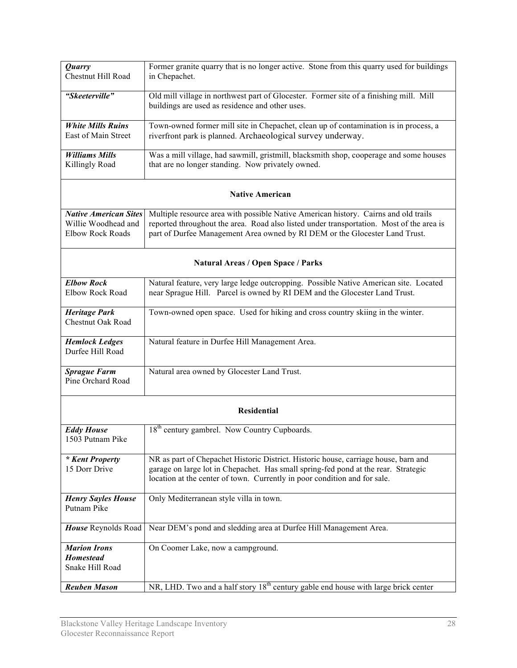| Quarry<br>Chestnut Hill Road                                                   | Former granite quarry that is no longer active. Stone from this quarry used for buildings<br>in Chepachet.                                                                                                                                                     |
|--------------------------------------------------------------------------------|----------------------------------------------------------------------------------------------------------------------------------------------------------------------------------------------------------------------------------------------------------------|
| "Skeeterville"                                                                 | Old mill village in northwest part of Glocester. Former site of a finishing mill. Mill<br>buildings are used as residence and other uses.                                                                                                                      |
| <b>White Mills Ruins</b><br>East of Main Street                                | Town-owned former mill site in Chepachet, clean up of contamination is in process, a<br>riverfront park is planned. Archaeological survey underway.                                                                                                            |
| <b>Williams Mills</b><br>Killingly Road                                        | Was a mill village, had sawmill, gristmill, blacksmith shop, cooperage and some houses<br>that are no longer standing. Now privately owned.                                                                                                                    |
|                                                                                | <b>Native American</b>                                                                                                                                                                                                                                         |
| <b>Native American Sites</b><br>Willie Woodhead and<br><b>Elbow Rock Roads</b> | Multiple resource area with possible Native American history. Cairns and old trails<br>reported throughout the area. Road also listed under transportation. Most of the area is<br>part of Durfee Management Area owned by RI DEM or the Glocester Land Trust. |
| <b>Natural Areas / Open Space / Parks</b>                                      |                                                                                                                                                                                                                                                                |
| <b>Elbow Rock</b><br>Elbow Rock Road                                           | Natural feature, very large ledge outcropping. Possible Native American site. Located<br>near Sprague Hill. Parcel is owned by RI DEM and the Glocester Land Trust.                                                                                            |
| <b>Heritage Park</b><br><b>Chestnut Oak Road</b>                               | Town-owned open space. Used for hiking and cross country skiing in the winter.                                                                                                                                                                                 |
| <b>Hemlock Ledges</b><br>Durfee Hill Road                                      | Natural feature in Durfee Hill Management Area.                                                                                                                                                                                                                |
| <b>Sprague Farm</b><br>Pine Orchard Road                                       | Natural area owned by Glocester Land Trust.                                                                                                                                                                                                                    |
|                                                                                | <b>Residential</b>                                                                                                                                                                                                                                             |
| <b>Eddy House</b><br>1503 Putnam Pike                                          | 18 <sup>th</sup> century gambrel. Now Country Cupboards.                                                                                                                                                                                                       |
| * Kent Property<br>15 Dorr Drive                                               | NR as part of Chepachet Historic District. Historic house, carriage house, barn and<br>garage on large lot in Chepachet. Has small spring-fed pond at the rear. Strategic<br>location at the center of town. Currently in poor condition and for sale.         |
| <b>Henry Sayles House</b><br>Putnam Pike                                       | Only Mediterranean style villa in town.                                                                                                                                                                                                                        |
| House Reynolds Road                                                            | Near DEM's pond and sledding area at Durfee Hill Management Area.                                                                                                                                                                                              |
| <b>Marion Irons</b><br><b>Homestead</b><br>Snake Hill Road                     | On Coomer Lake, now a campground.                                                                                                                                                                                                                              |
| <b>Reuben Mason</b>                                                            | NR, LHD. Two and a half story 18 <sup>th</sup> century gable end house with large brick center                                                                                                                                                                 |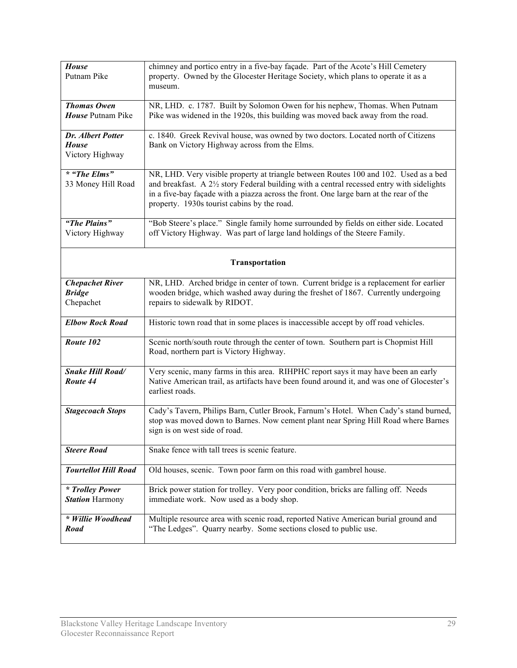| <b>House</b><br>Putnam Pike                          | chimney and portico entry in a five-bay façade. Part of the Acote's Hill Cemetery<br>property. Owned by the Glocester Heritage Society, which plans to operate it as a<br>museum.                                                                                                                                         |
|------------------------------------------------------|---------------------------------------------------------------------------------------------------------------------------------------------------------------------------------------------------------------------------------------------------------------------------------------------------------------------------|
|                                                      |                                                                                                                                                                                                                                                                                                                           |
| <b>Thomas Owen</b><br>House Putnam Pike              | NR, LHD. c. 1787. Built by Solomon Owen for his nephew, Thomas. When Putnam<br>Pike was widened in the 1920s, this building was moved back away from the road.                                                                                                                                                            |
| Dr. Albert Potter<br><b>House</b><br>Victory Highway | c. 1840. Greek Revival house, was owned by two doctors. Located north of Citizens<br>Bank on Victory Highway across from the Elms.                                                                                                                                                                                        |
| * "The Elms"<br>33 Money Hill Road                   | NR, LHD. Very visible property at triangle between Routes 100 and 102. Used as a bed<br>and breakfast. A 2½ story Federal building with a central recessed entry with sidelights<br>in a five-bay façade with a piazza across the front. One large barn at the rear of the<br>property. 1930s tourist cabins by the road. |
| "The Plains"<br>Victory Highway                      | "Bob Steere's place." Single family home surrounded by fields on either side. Located<br>off Victory Highway. Was part of large land holdings of the Steere Family.                                                                                                                                                       |
| Transportation                                       |                                                                                                                                                                                                                                                                                                                           |
| <b>Chepachet River</b><br><b>Bridge</b><br>Chepachet | NR, LHD. Arched bridge in center of town. Current bridge is a replacement for earlier<br>wooden bridge, which washed away during the freshet of 1867. Currently undergoing<br>repairs to sidewalk by RIDOT.                                                                                                               |
| <b>Elbow Rock Road</b>                               | Historic town road that in some places is inaccessible accept by off road vehicles.                                                                                                                                                                                                                                       |
| Route 102                                            | Scenic north/south route through the center of town. Southern part is Chopmist Hill<br>Road, northern part is Victory Highway.                                                                                                                                                                                            |
| <b>Snake Hill Road/</b><br>Route 44                  | Very scenic, many farms in this area. RIHPHC report says it may have been an early<br>Native American trail, as artifacts have been found around it, and was one of Glocester's<br>earliest roads.                                                                                                                        |
| <b>Stagecoach Stops</b>                              | Cady's Tavern, Philips Barn, Cutler Brook, Farnum's Hotel. When Cady's stand burned,<br>stop was moved down to Barnes. Now cement plant near Spring Hill Road where Barnes<br>sign is on west side of road.                                                                                                               |
| <b>Steere Road</b>                                   | Snake fence with tall trees is scenic feature.                                                                                                                                                                                                                                                                            |
| <b>Tourtellot Hill Road</b>                          | Old houses, scenic. Town poor farm on this road with gambrel house.                                                                                                                                                                                                                                                       |
| <i>* Trolley Power</i><br><b>Station Harmony</b>     | Brick power station for trolley. Very poor condition, bricks are falling off. Needs<br>immediate work. Now used as a body shop.                                                                                                                                                                                           |
| * Willie Woodhead<br>Road                            | Multiple resource area with scenic road, reported Native American burial ground and<br>"The Ledges". Quarry nearby. Some sections closed to public use.                                                                                                                                                                   |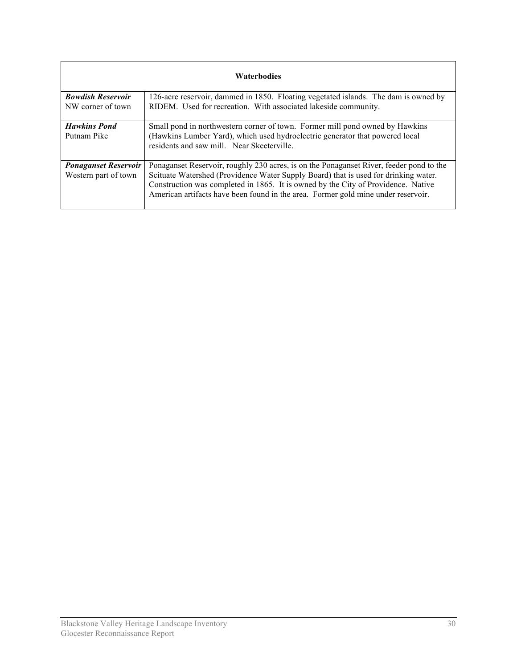| <b>Waterbodies</b>          |                                                                                                                                                                        |  |
|-----------------------------|------------------------------------------------------------------------------------------------------------------------------------------------------------------------|--|
| <b>Bowdish Reservoir</b>    | 126-acre reservoir, dammed in 1850. Floating vegetated islands. The dam is owned by                                                                                    |  |
| NW corner of town           | RIDEM. Used for recreation. With associated lakeside community.                                                                                                        |  |
| <b>Hawkins Pond</b>         | Small pond in northwestern corner of town. Former mill pond owned by Hawkins                                                                                           |  |
| Putnam Pike                 | (Hawkins Lumber Yard), which used hydroelectric generator that powered local<br>residents and saw mill. Near Skeeterville.                                             |  |
| <b>Ponaganset Reservoir</b> | Ponaganset Reservoir, roughly 230 acres, is on the Ponaganset River, feeder pond to the                                                                                |  |
| Western part of town        | Scituate Watershed (Providence Water Supply Board) that is used for drinking water.                                                                                    |  |
|                             | Construction was completed in 1865. It is owned by the City of Providence. Native<br>American artifacts have been found in the area. Former gold mine under reservoir. |  |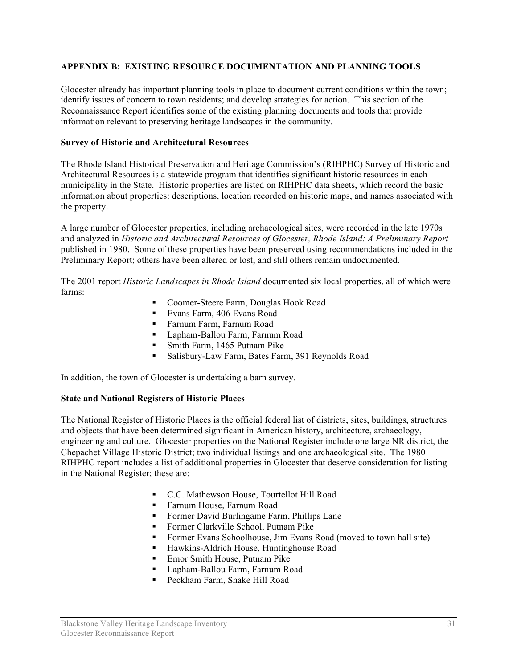# **APPENDIX B: EXISTING RESOURCE DOCUMENTATION AND PLANNING TOOLS**

Glocester already has important planning tools in place to document current conditions within the town; identify issues of concern to town residents; and develop strategies for action. This section of the Reconnaissance Report identifies some of the existing planning documents and tools that provide information relevant to preserving heritage landscapes in the community.

## **Survey of Historic and Architectural Resources**

The Rhode Island Historical Preservation and Heritage Commission's (RIHPHC) Survey of Historic and Architectural Resources is a statewide program that identifies significant historic resources in each municipality in the State. Historic properties are listed on RIHPHC data sheets, which record the basic information about properties: descriptions, location recorded on historic maps, and names associated with the property.

A large number of Glocester properties, including archaeological sites, were recorded in the late 1970s and analyzed in *Historic and Architectural Resources of Glocester, Rhode Island: A Preliminary Report*  published in 1980. Some of these properties have been preserved using recommendations included in the Preliminary Report; others have been altered or lost; and still others remain undocumented.

The 2001 report *Historic Landscapes in Rhode Island* documented six local properties, all of which were farms:

- Coomer-Steere Farm, Douglas Hook Road
- Evans Farm, 406 Evans Road
- **Farnum Farm, Farnum Road**
- Lapham-Ballou Farm, Farnum Road
- **Smith Farm, 1465 Putnam Pike**
- Salisbury-Law Farm, Bates Farm, 391 Reynolds Road

In addition, the town of Glocester is undertaking a barn survey.

#### **State and National Registers of Historic Places**

The National Register of Historic Places is the official federal list of districts, sites, buildings, structures and objects that have been determined significant in American history, architecture, archaeology, engineering and culture. Glocester properties on the National Register include one large NR district, the Chepachet Village Historic District; two individual listings and one archaeological site. The 1980 RIHPHC report includes a list of additional properties in Glocester that deserve consideration for listing in the National Register; these are:

- C.C. Mathewson House, Tourtellot Hill Road
- **Farnum House, Farnum Road**
- **Former David Burlingame Farm, Phillips Lane**
- Former Clarkville School, Putnam Pike
- Former Evans Schoolhouse, Jim Evans Road (moved to town hall site)
- Hawkins-Aldrich House, Huntinghouse Road
- Emor Smith House, Putnam Pike
- **Lapham-Ballou Farm, Farnum Road**
- Peckham Farm, Snake Hill Road